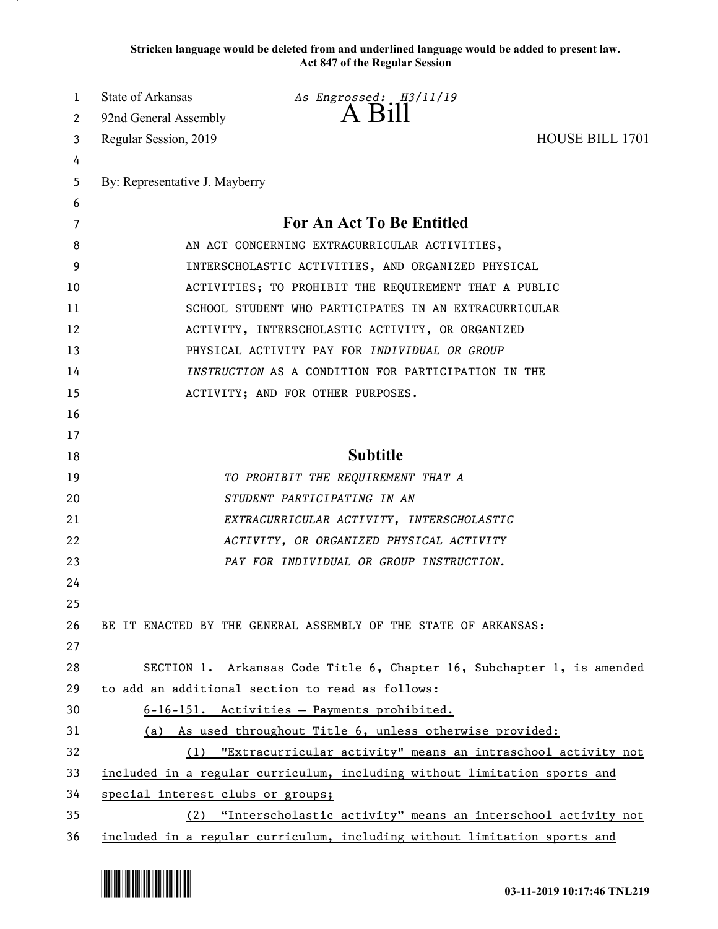**Stricken language would be deleted from and underlined language would be added to present law. Act 847 of the Regular Session**

| 1  | State of Arkansas                                                         | As Engrossed: H3/11/19                                                    |                        |
|----|---------------------------------------------------------------------------|---------------------------------------------------------------------------|------------------------|
| 2  | 92nd General Assembly                                                     | A Bill                                                                    |                        |
| 3  | Regular Session, 2019                                                     |                                                                           | <b>HOUSE BILL 1701</b> |
| 4  |                                                                           |                                                                           |                        |
| 5  | By: Representative J. Mayberry                                            |                                                                           |                        |
| 6  |                                                                           |                                                                           |                        |
| 7  |                                                                           | For An Act To Be Entitled                                                 |                        |
| 8  | AN ACT CONCERNING EXTRACURRICULAR ACTIVITIES,                             |                                                                           |                        |
| 9  | INTERSCHOLASTIC ACTIVITIES, AND ORGANIZED PHYSICAL                        |                                                                           |                        |
| 10 | ACTIVITIES; TO PROHIBIT THE REQUIREMENT THAT A PUBLIC                     |                                                                           |                        |
| 11 | SCHOOL STUDENT WHO PARTICIPATES IN AN EXTRACURRICULAR                     |                                                                           |                        |
| 12 | ACTIVITY, INTERSCHOLASTIC ACTIVITY, OR ORGANIZED                          |                                                                           |                        |
| 13 |                                                                           | PHYSICAL ACTIVITY PAY FOR INDIVIDUAL OR GROUP                             |                        |
| 14 | INSTRUCTION AS A CONDITION FOR PARTICIPATION IN THE                       |                                                                           |                        |
| 15 |                                                                           | ACTIVITY; AND FOR OTHER PURPOSES.                                         |                        |
| 16 |                                                                           |                                                                           |                        |
| 17 |                                                                           |                                                                           |                        |
| 18 |                                                                           | <b>Subtitle</b>                                                           |                        |
| 19 |                                                                           | TO PROHIBIT THE REQUIREMENT THAT A                                        |                        |
| 20 |                                                                           | STUDENT PARTICIPATING IN AN                                               |                        |
| 21 |                                                                           | EXTRACURRICULAR ACTIVITY, INTERSCHOLASTIC                                 |                        |
| 22 |                                                                           | ACTIVITY, OR ORGANIZED PHYSICAL ACTIVITY                                  |                        |
| 23 |                                                                           | PAY FOR INDIVIDUAL OR GROUP INSTRUCTION.                                  |                        |
| 24 |                                                                           |                                                                           |                        |
| 25 |                                                                           |                                                                           |                        |
| 26 |                                                                           | BE IT ENACTED BY THE GENERAL ASSEMBLY OF THE STATE OF ARKANSAS:           |                        |
| 27 |                                                                           |                                                                           |                        |
| 28 |                                                                           | SECTION 1. Arkansas Code Title 6, Chapter 16, Subchapter 1, is amended    |                        |
| 29 | to add an additional section to read as follows:                          |                                                                           |                        |
| 30 |                                                                           | 6-16-151. Activities - Payments prohibited.                               |                        |
| 31 |                                                                           | (a) As used throughout Title 6, unless otherwise provided:                |                        |
| 32 |                                                                           | (1) "Extracurricular activity" means an intraschool activity not          |                        |
| 33 | included in a regular curriculum, including without limitation sports and |                                                                           |                        |
| 34 | special interest clubs or groups;                                         |                                                                           |                        |
| 35 |                                                                           | (2) "Interscholastic activity" means an interschool activity not          |                        |
| 36 |                                                                           | included in a regular curriculum, including without limitation sports and |                        |